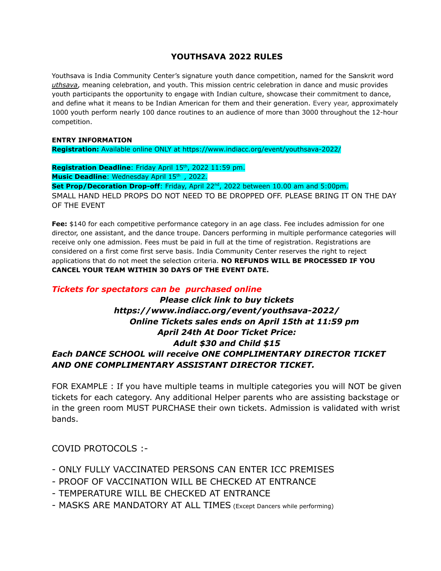## **YOUTHSAVA 2022 RULES**

Youthsava is India Community Center's signature youth dance competition, named for the Sanskrit word *uthsava*, meaning celebration, and youth. This mission centric celebration in dance and music provides youth participants the opportunity to engage with Indian culture, showcase their commitment to dance, and define what it means to be Indian American for them and their generation. Every year, approximately 1000 youth perform nearly 100 dance routines to an audience of more than 3000 throughout the 12-hour competition.

### **ENTRY INFORMATION**

**Registration:** Available online ONLY at https://www.indiacc.org/event/youthsava-2022/

Registration Deadline: Friday April 15<sup>th</sup>, 2022 11:59 pm. Music Deadline: Wednesday April 15<sup>th</sup>, 2022. Set Prop/Decoration Drop-off: Friday, April 22<sup>nd</sup>, 2022 between 10.00 am and 5:00pm. SMALL HAND HELD PROPS DO NOT NEED TO BE DROPPED OFF. PLEASE BRING IT ON THE DAY OF THE EVENT

**Fee:** \$140 for each competitive performance category in an age class. Fee includes admission for one director, one assistant, and the dance troupe. Dancers performing in multiple performance categories will receive only one admission. Fees must be paid in full at the time of registration. Registrations are considered on a first come first serve basis. India Community Center reserves the right to reject applications that do not meet the selection criteria. **NO REFUNDS WILL BE PROCESSED IF YOU CANCEL YOUR TEAM WITHIN 30 DAYS OF THE EVENT DATE.**

## *Tickets for spectators can be purchased online*

# *Please click link to buy tickets https://www.indiacc.org/event/youthsava-2022/ Online Tickets sales ends on April 15th at 11:59 pm April 24th At Door Ticket Price: Adult \$30 and Child \$15 Each DANCE SCHOOL will receive ONE COMPLIMENTARY DIRECTOR TICKET AND ONE COMPLIMENTARY ASSISTANT DIRECTOR TICKET.*

FOR EXAMPLE : If you have multiple teams in multiple categories you will NOT be given tickets for each category. Any additional Helper parents who are assisting backstage or in the green room MUST PURCHASE their own tickets. Admission is validated with wrist bands.

COVID PROTOCOLS :-

- ONLY FULLY VACCINATED PERSONS CAN ENTER ICC PREMISES
- PROOF OF VACCINATION WILL BE CHECKED AT ENTRANCE
- TEMPERATURE WILL BE CHECKED AT ENTRANCE
- MASKS ARE MANDATORY AT ALL TIMES (Except Dancers while performing)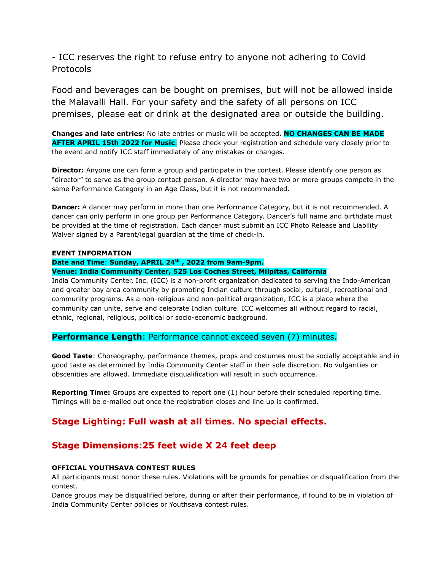- ICC reserves the right to refuse entry to anyone not adhering to Covid Protocols

Food and beverages can be bought on premises, but will not be allowed inside the Malavalli Hall. For your safety and the safety of all persons on ICC premises, please eat or drink at the designated area or outside the building.

**Changes and late entries:** No late entries or music will be accepted**. NO CHANGES CAN BE MADE AFTER APRIL 15th 2022 for Music**. Please check your registration and schedule very closely prior to the event and notify ICC staff immediately of any mistakes or changes.

**Director:** Anyone one can form a group and participate in the contest. Please identify one person as "director" to serve as the group contact person. A director may have two or more groups compete in the same Performance Category in an Age Class, but it is not recommended.

**Dancer:** A dancer may perform in more than one Performance Category, but it is not recommended. A dancer can only perform in one group per Performance Category. Dancer's full name and birthdate must be provided at the time of registration. Each dancer must submit an ICC Photo Release and Liability Waiver signed by a Parent/legal guardian at the time of check-in.

#### **EVENT INFORMATION**

### **Date and Time**: **Sunday, APRIL 24th , 2022 from 9am-9pm.**

### **Venue: India Community Center, 525 Los Coches Street, Milpitas, California**

India Community Center, Inc. (ICC) is a non-profit organization dedicated to serving the Indo-American and greater bay area community by promoting Indian culture through social, cultural, recreational and community programs. As a non-religious and non-political organization, ICC is a place where the community can unite, serve and celebrate Indian culture. ICC welcomes all without regard to racial, ethnic, regional, religious, political or socio-economic background.

## **Performance Length**: Performance cannot exceed seven (7) minutes.

**Good Taste**: Choreography, performance themes, props and costumes must be socially acceptable and in good taste as determined by India Community Center staff in their sole discretion. No vulgarities or obscenities are allowed. Immediate disqualification will result in such occurrence.

**Reporting Time:** Groups are expected to report one (1) hour before their scheduled reporting time. Timings will be e-mailed out once the registration closes and line up is confirmed.

## **Stage Lighting: Full wash at all times. No special effects.**

## **Stage Dimensions:25 feet wide X 24 feet deep**

### **OFFICIAL YOUTHSAVA CONTEST RULES**

All participants must honor these rules. Violations will be grounds for penalties or disqualification from the contest.

Dance groups may be disqualified before, during or after their performance, if found to be in violation of India Community Center policies or Youthsava contest rules.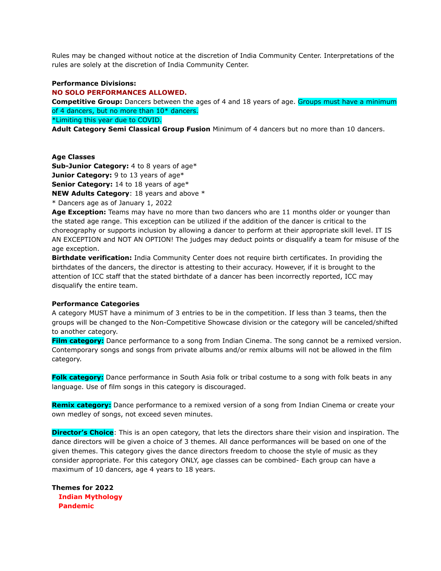Rules may be changed without notice at the discretion of India Community Center. Interpretations of the rules are solely at the discretion of India Community Center.

#### **Performance Divisions:**

**NO SOLO PERFORMANCES ALLOWED.**

**Competitive Group:** Dancers between the ages of 4 and 18 years of age. Groups must have a minimum of 4 dancers, but no more than 10\* dancers.

\*Limiting this year due to COVID.

**Adult Category Semi Classical Group Fusion** Minimum of 4 dancers but no more than 10 dancers.

#### **Age Classes**

**Sub-Junior Category:** 4 to 8 years of age\* **Junior Category:** 9 to 13 years of age\* **Senior Category:** 14 to 18 years of age\*

**NEW Adults Category**: 18 years and above \*

\* Dancers age as of January 1, 2022

**Age Exception:** Teams may have no more than two dancers who are 11 months older or younger than the stated age range. This exception can be utilized if the addition of the dancer is critical to the choreography or supports inclusion by allowing a dancer to perform at their appropriate skill level. IT IS AN EXCEPTION and NOT AN OPTION! The judges may deduct points or disqualify a team for misuse of the age exception.

**Birthdate verification:** India Community Center does not require birth certificates. In providing the birthdates of the dancers, the director is attesting to their accuracy. However, if it is brought to the attention of ICC staff that the stated birthdate of a dancer has been incorrectly reported, ICC may disqualify the entire team.

#### **Performance Categories**

A category MUST have a minimum of 3 entries to be in the competition. If less than 3 teams, then the groups will be changed to the Non-Competitive Showcase division or the category will be canceled/shifted to another category.

**Film category:** Dance performance to a song from Indian Cinema. The song cannot be a remixed version. Contemporary songs and songs from private albums and/or remix albums will not be allowed in the film category.

**Folk category:** Dance performance in South Asia folk or tribal costume to a song with folk beats in any language. Use of film songs in this category is discouraged.

**Remix category:** Dance performance to a remixed version of a song from Indian Cinema or create your own medley of songs, not exceed seven minutes.

**Director's Choice**: This is an open category, that lets the directors share their vision and inspiration. The dance directors will be given a choice of 3 themes. All dance performances will be based on one of the given themes. This category gives the dance directors freedom to choose the style of music as they consider appropriate. For this category ONLY, age classes can be combined- Each group can have a maximum of 10 dancers, age 4 years to 18 years.

**Themes for 2022 Indian Mythology Pandemic**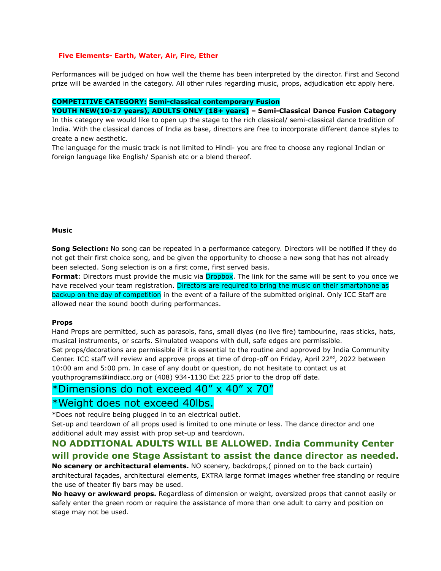#### **Five Elements- Earth, Water, Air, Fire, Ether**

Performances will be judged on how well the theme has been interpreted by the director. First and Second prize will be awarded in the category. All other rules regarding music, props, adjudication etc apply here.

#### **COMPETITIVE CATEGORY: Semi-classical contemporary Fusion**

**YOUTH NEW(10-17 years), ADULTS ONLY (18+ years) – Semi-Classical Dance Fusion Category**

In this category we would like to open up the stage to the rich classical/ semi-classical dance tradition of India. With the classical dances of India as base, directors are free to incorporate different dance styles to create a new aesthetic.

The language for the music track is not limited to Hindi- you are free to choose any regional Indian or foreign language like English/ Spanish etc or a blend thereof.

#### **Music**

**Song Selection:** No song can be repeated in a performance category. Directors will be notified if they do not get their first choice song, and be given the opportunity to choose a new song that has not already been selected. Song selection is on a first come, first served basis.

Format: Directors must provide the music via Dropbox. The link for the same will be sent to you once we have received your team registration. Directors are required to bring the music on their smartphone as backup on the day of competition in the event of a failure of the submitted original. Only ICC Staff are allowed near the sound booth during performances.

#### **Props**

Hand Props are permitted, such as parasols, fans, small diyas (no live fire) tambourine, raas sticks, hats, musical instruments, or scarfs. Simulated weapons with dull, safe edges are permissible. Set props/decorations are permissible if it is essential to the routine and approved by India Community Center. ICC staff will review and approve props at time of drop-off on Friday, April 22<sup>nd</sup>, 2022 between 10:00 am and 5:00 pm. In case of any doubt or question, do not hesitate to contact us at youthprograms@indiacc.org or (408) 934-1130 Ext 225 prior to the drop off date.

# \*Dimensions do not exceed 40" x 40" x 70"

## \*Weight does not exceed 40lbs.

\*Does not require being plugged in to an electrical outlet.

Set-up and teardown of all props used is limited to one minute or less. The dance director and one additional adult may assist with prop set-up and teardown.

## **NO ADDITIONAL ADULTS WILL BE ALLOWED. India Community Center will provide one Stage Assistant to assist the dance director as needed.**

**No scenery or architectural elements.** NO scenery, backdrops,( pinned on to the back curtain) architectural façades, architectural elements, EXTRA large format images whether free standing or require the use of theater fly bars may be used.

**No heavy or awkward props.** Regardless of dimension or weight, oversized props that cannot easily or safely enter the green room or require the assistance of more than one adult to carry and position on stage may not be used.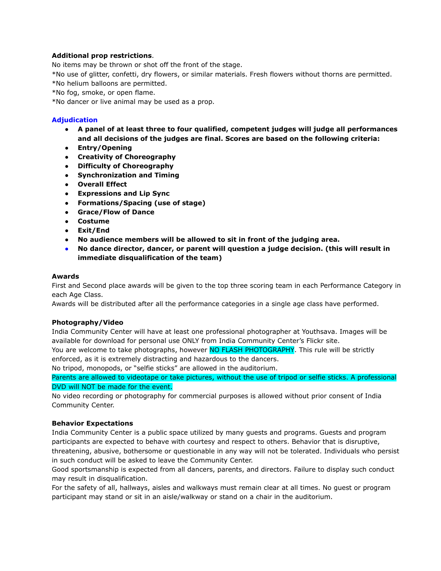### **Additional prop restrictions**.

No items may be thrown or shot off the front of the stage.

\*No use of glitter, confetti, dry flowers, or similar materials. Fresh flowers without thorns are permitted. \*No helium balloons are permitted.

\*No fog, smoke, or open flame.

\*No dancer or live animal may be used as a prop.

### **Adjudication**

- **● A panel of at least three to four qualified, competent judges will judge all performances and all decisions of the judges are final. Scores are based on the following criteria:**
- **● Entry/Opening**
- **● Creativity of Choreography**
- **● Difficulty of Choreography**
- **● Synchronization and Timing**
- **● Overall Effect**
- **● Expressions and Lip Sync**
- **● Formations/Spacing (use of stage)**
- **● Grace/Flow of Dance**
- **● Costume**
- **● Exit/End**
- **● No audience members will be allowed to sit in front of the judging area.**
- **● No dance director, dancer, or parent will question a judge decision. (this will result in immediate disqualification of the team)**

### **Awards**

First and Second place awards will be given to the top three scoring team in each Performance Category in each Age Class.

Awards will be distributed after all the performance categories in a single age class have performed.

### **Photography/Video**

India Community Center will have at least one professional photographer at Youthsava. Images will be available for download for personal use ONLY from India Community Center's Flickr site.

You are welcome to take photographs, however NO FLASH PHOTOGRAPHY. This rule will be strictly enforced, as it is extremely distracting and hazardous to the dancers.

No tripod, monopods, or "selfie sticks" are allowed in the auditorium.

Parents are allowed to videotape or take pictures, without the use of tripod or selfie sticks. A professional DVD will NOT be made for the event.

No video recording or photography for commercial purposes is allowed without prior consent of India Community Center.

### **Behavior Expectations**

India Community Center is a public space utilized by many guests and programs. Guests and program participants are expected to behave with courtesy and respect to others. Behavior that is disruptive, threatening, abusive, bothersome or questionable in any way will not be tolerated. Individuals who persist in such conduct will be asked to leave the Community Center.

Good sportsmanship is expected from all dancers, parents, and directors. Failure to display such conduct may result in disqualification.

For the safety of all, hallways, aisles and walkways must remain clear at all times. No guest or program participant may stand or sit in an aisle/walkway or stand on a chair in the auditorium.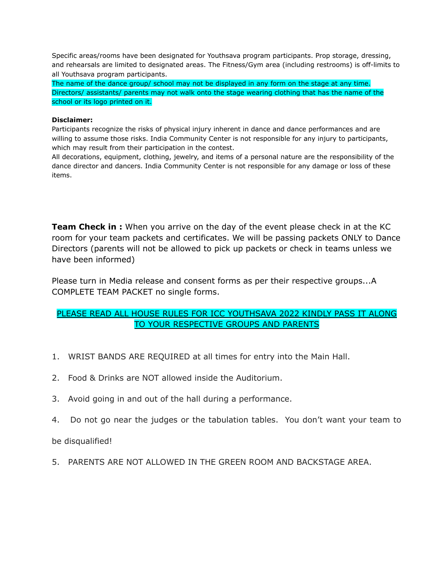Specific areas/rooms have been designated for Youthsava program participants. Prop storage, dressing, and rehearsals are limited to designated areas. The Fitness/Gym area (including restrooms) is off-limits to all Youthsava program participants.

The name of the dance group/ school may not be displayed in any form on the stage at any time. Directors/ assistants/ parents may not walk onto the stage wearing clothing that has the name of the school or its logo printed on it.

### **Disclaimer:**

Participants recognize the risks of physical injury inherent in dance and dance performances and are willing to assume those risks. India Community Center is not responsible for any injury to participants, which may result from their participation in the contest.

All decorations, equipment, clothing, jewelry, and items of a personal nature are the responsibility of the dance director and dancers. India Community Center is not responsible for any damage or loss of these items.

**Team Check in :** When you arrive on the day of the event please check in at the KC room for your team packets and certificates. We will be passing packets ONLY to Dance Directors (parents will not be allowed to pick up packets or check in teams unless we have been informed)

Please turn in Media release and consent forms as per their respective groups...A COMPLETE TEAM PACKET no single forms.

## PLEASE READ ALL HOUSE RULES FOR ICC YOUTHSAVA 2022 KINDLY PASS IT ALONG TO YOUR RESPECTIVE GROUPS AND PARENTS

- 1. WRIST BANDS ARE REQUIRED at all times for entry into the Main Hall.
- 2. Food & Drinks are NOT allowed inside the Auditorium.
- 3. Avoid going in and out of the hall during a performance.
- 4. Do not go near the judges or the tabulation tables. You don't want your team to

be disqualified!

5. PARENTS ARE NOT ALLOWED IN THE GREEN ROOM AND BACKSTAGE AREA.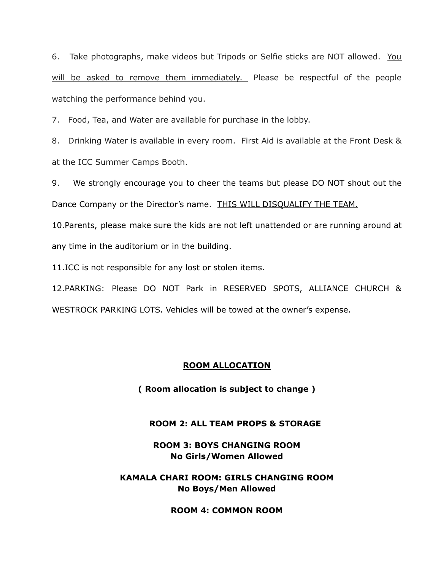6. Take photographs, make videos but Tripods or Selfie sticks are NOT allowed. You will be asked to remove them immediately. Please be respectful of the people watching the performance behind you.

7. Food, Tea, and Water are available for purchase in the lobby.

8. Drinking Water is available in every room. First Aid is available at the Front Desk & at the ICC Summer Camps Booth.

9. We strongly encourage you to cheer the teams but please DO NOT shout out the Dance Company or the Director's name. THIS WILL DISQUALIFY THE TEAM.

10.Parents, please make sure the kids are not left unattended or are running around at any time in the auditorium or in the building.

11.ICC is not responsible for any lost or stolen items.

12.PARKING: Please DO NOT Park in RESERVED SPOTS, ALLIANCE CHURCH & WESTROCK PARKING LOTS. Vehicles will be towed at the owner's expense.

## **ROOM ALLOCATION**

**( Room allocation is subject to change )**

### **ROOM 2: ALL TEAM PROPS & STORAGE**

**ROOM 3: BOYS CHANGING ROOM No Girls/Women Allowed**

**KAMALA CHARI ROOM: GIRLS CHANGING ROOM No Boys/Men Allowed**

**ROOM 4: COMMON ROOM**